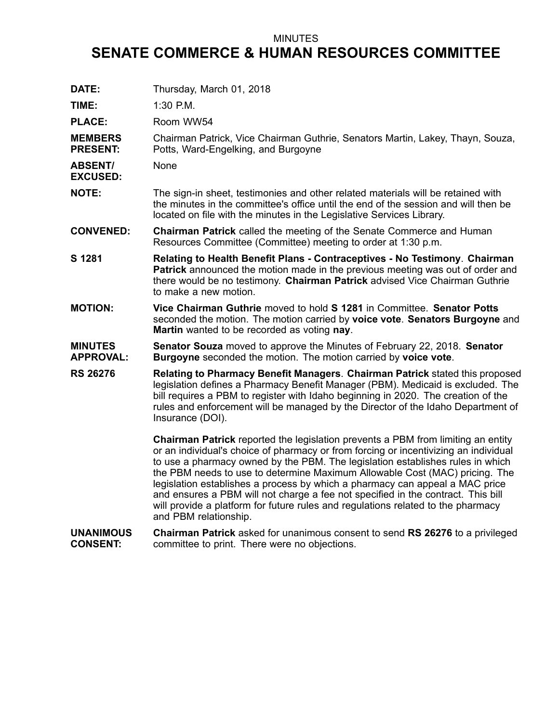## MINUTES

## **SENATE COMMERCE & HUMAN RESOURCES COMMITTEE**

| DATE:                               | Thursday, March 01, 2018                                                                                                                                                                                                                                                                                                                                                                                                                                                                                                                                                                                                          |
|-------------------------------------|-----------------------------------------------------------------------------------------------------------------------------------------------------------------------------------------------------------------------------------------------------------------------------------------------------------------------------------------------------------------------------------------------------------------------------------------------------------------------------------------------------------------------------------------------------------------------------------------------------------------------------------|
| TIME:                               | 1:30 P.M.                                                                                                                                                                                                                                                                                                                                                                                                                                                                                                                                                                                                                         |
| <b>PLACE:</b>                       | Room WW54                                                                                                                                                                                                                                                                                                                                                                                                                                                                                                                                                                                                                         |
| <b>MEMBERS</b><br><b>PRESENT:</b>   | Chairman Patrick, Vice Chairman Guthrie, Senators Martin, Lakey, Thayn, Souza,<br>Potts, Ward-Engelking, and Burgoyne                                                                                                                                                                                                                                                                                                                                                                                                                                                                                                             |
| <b>ABSENT/</b><br><b>EXCUSED:</b>   | None                                                                                                                                                                                                                                                                                                                                                                                                                                                                                                                                                                                                                              |
| <b>NOTE:</b>                        | The sign-in sheet, testimonies and other related materials will be retained with<br>the minutes in the committee's office until the end of the session and will then be<br>located on file with the minutes in the Legislative Services Library.                                                                                                                                                                                                                                                                                                                                                                                  |
| <b>CONVENED:</b>                    | Chairman Patrick called the meeting of the Senate Commerce and Human<br>Resources Committee (Committee) meeting to order at 1:30 p.m.                                                                                                                                                                                                                                                                                                                                                                                                                                                                                             |
| S 1281                              | Relating to Health Benefit Plans - Contraceptives - No Testimony. Chairman<br>Patrick announced the motion made in the previous meeting was out of order and<br>there would be no testimony. Chairman Patrick advised Vice Chairman Guthrie<br>to make a new motion.                                                                                                                                                                                                                                                                                                                                                              |
| <b>MOTION:</b>                      | Vice Chairman Guthrie moved to hold S 1281 in Committee. Senator Potts<br>seconded the motion. The motion carried by voice vote. Senators Burgoyne and<br>Martin wanted to be recorded as voting nay.                                                                                                                                                                                                                                                                                                                                                                                                                             |
| <b>MINUTES</b><br><b>APPROVAL:</b>  | <b>Senator Souza</b> moved to approve the Minutes of February 22, 2018. Senator<br>Burgoyne seconded the motion. The motion carried by voice vote.                                                                                                                                                                                                                                                                                                                                                                                                                                                                                |
| <b>RS 26276</b>                     | Relating to Pharmacy Benefit Managers. Chairman Patrick stated this proposed<br>legislation defines a Pharmacy Benefit Manager (PBM). Medicaid is excluded. The<br>bill requires a PBM to register with Idaho beginning in 2020. The creation of the<br>rules and enforcement will be managed by the Director of the Idaho Department of<br>Insurance (DOI).                                                                                                                                                                                                                                                                      |
|                                     | <b>Chairman Patrick</b> reported the legislation prevents a PBM from limiting an entity<br>or an individual's choice of pharmacy or from forcing or incentivizing an individual<br>to use a pharmacy owned by the PBM. The legislation establishes rules in which<br>the PBM needs to use to determine Maximum Allowable Cost (MAC) pricing. The<br>legislation establishes a process by which a pharmacy can appeal a MAC price<br>and ensures a PBM will not charge a fee not specified in the contract. This bill<br>will provide a platform for future rules and regulations related to the pharmacy<br>and PBM relationship. |
| <b>UNANIMOUS</b><br><b>CONSENT:</b> | Chairman Patrick asked for unanimous consent to send RS 26276 to a privileged<br>committee to print. There were no objections.                                                                                                                                                                                                                                                                                                                                                                                                                                                                                                    |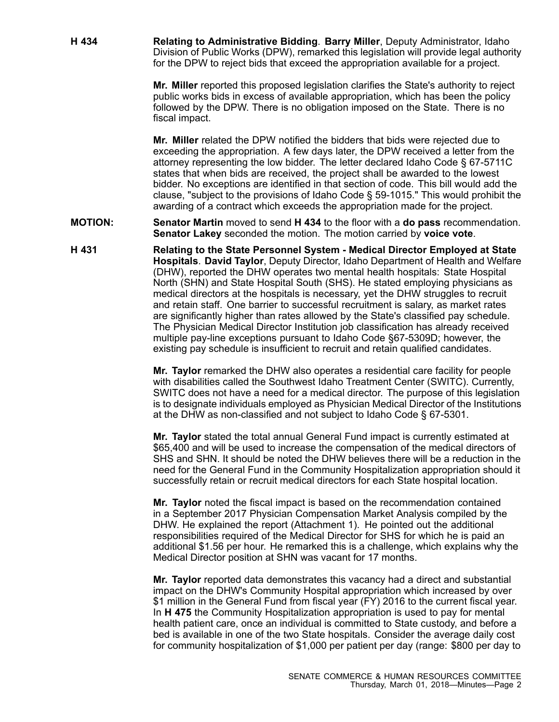**H 434 Relating to Administrative Bidding**. **Barry Miller**, Deputy Administrator, Idaho Division of Public Works (DPW), remarked this legislation will provide legal authority for the DPW to reject bids that exceed the appropriation available for <sup>a</sup> project.

> **Mr. Miller** reported this proposed legislation clarifies the State's authority to reject public works bids in excess of available appropriation, which has been the policy followed by the DPW. There is no obligation imposed on the State. There is no fiscal impact.

**Mr. Miller** related the DPW notified the bidders that bids were rejected due to exceeding the appropriation. A few days later, the DPW received <sup>a</sup> letter from the attorney representing the low bidder. The letter declared Idaho Code § 67-5711C states that when bids are received, the project shall be awarded to the lowest bidder. No exceptions are identified in that section of code. This bill would add the clause, "subject to the provisions of Idaho Code § 59-1015." This would prohibit the awarding of <sup>a</sup> contract which exceeds the appropriation made for the project.

**MOTION: Senator Martin** moved to send **H 434** to the floor with <sup>a</sup> **do pass** recommendation. **Senator Lakey** seconded the motion. The motion carried by **voice vote**.

**H 431 Relating to the State Personnel System - Medical Director Employed at State Hospitals**. **David Taylor**, Deputy Director, Idaho Department of Health and Welfare (DHW), reported the DHW operates two mental health hospitals: State Hospital North (SHN) and State Hospital South (SHS). He stated employing physicians as medical directors at the hospitals is necessary, yet the DHW struggles to recruit and retain staff. One barrier to successful recruitment is salary, as market rates are significantly higher than rates allowed by the State's classified pay schedule. The Physician Medical Director Institution job classification has already received multiple pay-line exceptions pursuant to Idaho Code §67-5309D; however, the existing pay schedule is insufficient to recruit and retain qualified candidates.

> **Mr. Taylor** remarked the DHW also operates <sup>a</sup> residential care facility for people with disabilities called the Southwest Idaho Treatment Center (SWITC). Currently, SWITC does not have <sup>a</sup> need for <sup>a</sup> medical director. The purpose of this legislation is to designate individuals employed as Physician Medical Director of the Institutions at the DHW as non-classified and not subject to Idaho Code § 67-5301.

> **Mr. Taylor** stated the total annual General Fund impact is currently estimated at \$65,400 and will be used to increase the compensation of the medical directors of SHS and SHN. It should be noted the DHW believes there will be a reduction in the need for the General Fund in the Community Hospitalization appropriation should it successfully retain or recruit medical directors for each State hospital location.

> **Mr. Taylor** noted the fiscal impact is based on the recommendation contained in <sup>a</sup> September 2017 Physician Compensation Market Analysis compiled by the DHW. He explained the report (Attachment 1). He pointed out the additional responsibilities required of the Medical Director for SHS for which he is paid an additional \$1.56 per hour. He remarked this is <sup>a</sup> challenge, which explains why the Medical Director position at SHN was vacant for 17 months.

> **Mr. Taylor** reported data demonstrates this vacancy had <sup>a</sup> direct and substantial impact on the DHW's Community Hospital appropriation which increased by over \$1 million in the General Fund from fiscal year (FY) 2016 to the current fiscal year. In **H 475** the Community Hospitalization appropriation is used to pay for mental health patient care, once an individual is committed to State custody, and before <sup>a</sup> bed is available in one of the two State hospitals. Consider the average daily cost for community hospitalization of \$1,000 per patient per day (range: \$800 per day to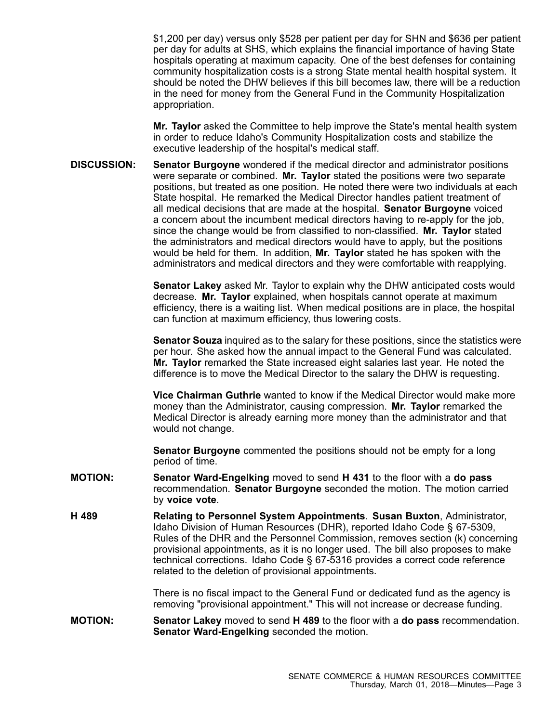\$1,200 per day) versus only \$528 per patient per day for SHN and \$636 per patient per day for adults at SHS, which explains the financial importance of having State hospitals operating at maximum capacity. One of the best defenses for containing community hospitalization costs is <sup>a</sup> strong State mental health hospital system. It should be noted the DHW believes if this bill becomes law, there will be <sup>a</sup> reduction in the need for money from the General Fund in the Community Hospitalization appropriation.

**Mr. Taylor** asked the Committee to help improve the State's mental health system in order to reduce Idaho's Community Hospitalization costs and stabilize the executive leadership of the hospital's medical staff.

**DISCUSSION: Senator Burgoyne** wondered if the medical director and administrator positions were separate or combined. **Mr. Taylor** stated the positions were two separate positions, but treated as one position. He noted there were two individuals at each State hospital. He remarked the Medical Director handles patient treatment of all medical decisions that are made at the hospital. **Senator Burgoyne** voiced <sup>a</sup> concern about the incumbent medical directors having to re-apply for the job, since the change would be from classified to non-classified. **Mr. Taylor** stated the administrators and medical directors would have to apply, but the positions would be held for them. In addition, **Mr. Taylor** stated he has spoken with the administrators and medical directors and they were comfortable with reapplying.

> **Senator Lakey** asked Mr. Taylor to explain why the DHW anticipated costs would decrease. **Mr. Taylor** explained, when hospitals cannot operate at maximum efficiency, there is <sup>a</sup> waiting list. When medical positions are in place, the hospital can function at maximum efficiency, thus lowering costs.

**Senator Souza** inquired as to the salary for these positions, since the statistics were per hour. She asked how the annual impact to the General Fund was calculated. **Mr. Taylor** remarked the State increased eight salaries last year. He noted the difference is to move the Medical Director to the salary the DHW is requesting.

**Vice Chairman Guthrie** wanted to know if the Medical Director would make more money than the Administrator, causing compression. **Mr. Taylor** remarked the Medical Director is already earning more money than the administrator and that would not change.

**Senator Burgoyne** commented the positions should not be empty for <sup>a</sup> long period of time.

- **MOTION: Senator Ward-Engelking** moved to send **H 431** to the floor with <sup>a</sup> **do pass** recommendation. **Senator Burgoyne** seconded the motion. The motion carried by **voice vote**.
- **H 489 Relating to Personnel System Appointments**. **Susan Buxton**, Administrator, Idaho Division of Human Resources (DHR), reported Idaho Code § 67-5309, Rules of the DHR and the Personnel Commission, removes section (k) concerning provisional appointments, as it is no longer used. The bill also proposes to make technical corrections. Idaho Code § 67-5316 provides <sup>a</sup> correct code reference related to the deletion of provisional appointments.

There is no fiscal impact to the General Fund or dedicated fund as the agency is removing "provisional appointment." This will not increase or decrease funding.

**MOTION: Senator Lakey** moved to send **H 489** to the floor with <sup>a</sup> **do pass** recommendation. **Senator Ward-Engelking** seconded the motion.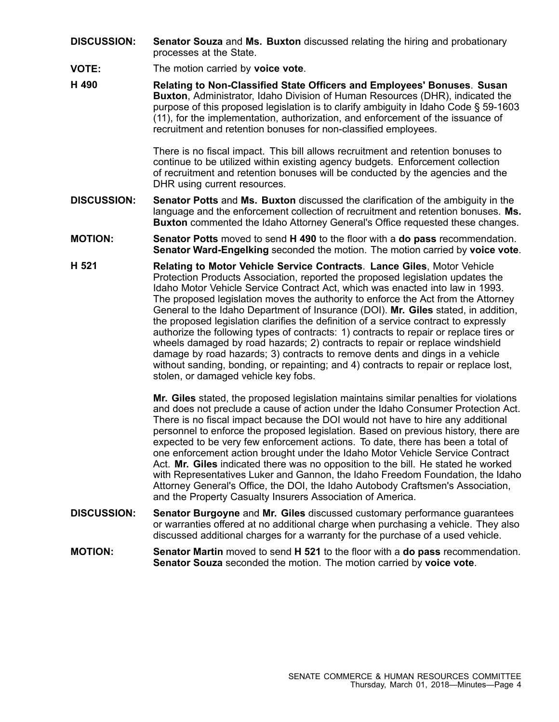- **DISCUSSION: Senator Souza** and **Ms. Buxton** discussed relating the hiring and probationary processes at the State.
- **VOTE:** The motion carried by **voice vote**.
- **H 490 Relating to Non-Classified State Officers and Employees' Bonuses**. **Susan Buxton**, Administrator, Idaho Division of Human Resources (DHR), indicated the purpose of this proposed legislation is to clarify ambiguity in Idaho Code § 59-1603 (11), for the implementation, authorization, and enforcement of the issuance of recruitment and retention bonuses for non-classified employees.

There is no fiscal impact. This bill allows recruitment and retention bonuses to continue to be utilized within existing agency budgets. Enforcement collection of recruitment and retention bonuses will be conducted by the agencies and the DHR using current resources.

- **DISCUSSION: Senator Potts** and **Ms. Buxton** discussed the clarification of the ambiguity in the language and the enforcement collection of recruitment and retention bonuses. **Ms. Buxton** commented the Idaho Attorney General's Office requested these changes.
- **MOTION: Senator Potts** moved to send **H 490** to the floor with <sup>a</sup> **do pass** recommendation. **Senator Ward-Engelking** seconded the motion. The motion carried by **voice vote**.
- **H 521 Relating to Motor Vehicle Service Contracts**. **Lance Giles**, Motor Vehicle Protection Products Association, reported the proposed legislation updates the Idaho Motor Vehicle Service Contract Act, which was enacted into law in 1993. The proposed legislation moves the authority to enforce the Act from the Attorney General to the Idaho Department of Insurance (DOI). **Mr. Giles** stated, in addition, the proposed legislation clarifies the definition of <sup>a</sup> service contract to expressly authorize the following types of contracts: 1) contracts to repair or replace tires or wheels damaged by road hazards; 2) contracts to repair or replace windshield damage by road hazards; 3) contracts to remove dents and dings in <sup>a</sup> vehicle without sanding, bonding, or repainting; and 4) contracts to repair or replace lost, stolen, or damaged vehicle key fobs.

**Mr. Giles** stated, the proposed legislation maintains similar penalties for violations and does not preclude <sup>a</sup> cause of action under the Idaho Consumer Protection Act. There is no fiscal impact because the DOI would not have to hire any additional personnel to enforce the proposed legislation. Based on previous history, there are expected to be very few enforcement actions. To date, there has been <sup>a</sup> total of one enforcement action brought under the Idaho Motor Vehicle Service Contract Act. **Mr. Giles** indicated there was no opposition to the bill. He stated he worked with Representatives Luker and Gannon, the Idaho Freedom Foundation, the Idaho Attorney General's Office, the DOI, the Idaho Autobody Craftsmen's Association, and the Property Casualty Insurers Association of America.

- **DISCUSSION: Senator Burgoyne** and **Mr. Giles** discussed customary performance guarantees or warranties offered at no additional charge when purchasing <sup>a</sup> vehicle. They also discussed additional charges for <sup>a</sup> warranty for the purchase of <sup>a</sup> used vehicle.
- **MOTION: Senator Martin** moved to send **H 521** to the floor with <sup>a</sup> **do pass** recommendation. **Senator Souza** seconded the motion. The motion carried by **voice vote**.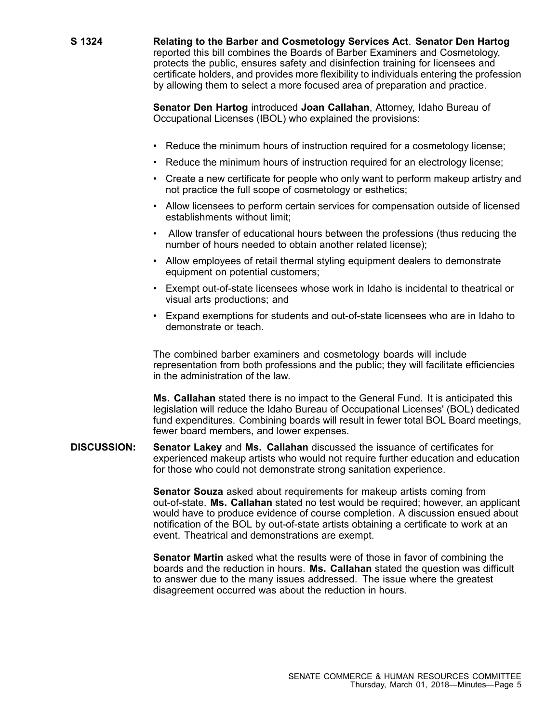**S 1324 Relating to the Barber and Cosmetology Services Act**. **Senator Den Hartog** reported this bill combines the Boards of Barber Examiners and Cosmetology, protects the public, ensures safety and disinfection training for licensees and certificate holders, and provides more flexibility to individuals entering the profession by allowing them to select <sup>a</sup> more focused area of preparation and practice.

> **Senator Den Hartog** introduced **Joan Callahan**, Attorney, Idaho Bureau of Occupational Licenses (IBOL) who explained the provisions:

- Reduce the minimum hours of instruction required for <sup>a</sup> cosmetology license;
- Reduce the minimum hours of instruction required for an electrology license;
- Create <sup>a</sup> new certificate for people who only want to perform makeup artistry and not practice the full scope of cosmetology or esthetics;
- Allow licensees to perform certain services for compensation outside of licensed establishments without limit;
- Allow transfer of educational hours between the professions (thus reducing the number of hours needed to obtain another related license);
- Allow employees of retail thermal styling equipment dealers to demonstrate equipment on potential customers;
- Exempt out-of-state licensees whose work in Idaho is incidental to theatrical or visual arts productions; and
- Expand exemptions for students and out-of-state licensees who are in Idaho to demonstrate or teach.

The combined barber examiners and cosmetology boards will include representation from both professions and the public; they will facilitate efficiencies in the administration of the law.

**Ms. Callahan** stated there is no impact to the General Fund. It is anticipated this legislation will reduce the Idaho Bureau of Occupational Licenses' (BOL) dedicated fund expenditures. Combining boards will result in fewer total BOL Board meetings, fewer board members, and lower expenses.

**DISCUSSION: Senator Lakey** and **Ms. Callahan** discussed the issuance of certificates for experienced makeup artists who would not require further education and education for those who could not demonstrate strong sanitation experience.

> **Senator Souza** asked about requirements for makeup artists coming from out-of-state. **Ms. Callahan** stated no test would be required; however, an applicant would have to produce evidence of course completion. A discussion ensued about notification of the BOL by out-of-state artists obtaining <sup>a</sup> certificate to work at an event. Theatrical and demonstrations are exempt.

**Senator Martin** asked what the results were of those in favor of combining the boards and the reduction in hours. **Ms. Callahan** stated the question was difficult to answer due to the many issues addressed. The issue where the greatest disagreement occurred was about the reduction in hours.